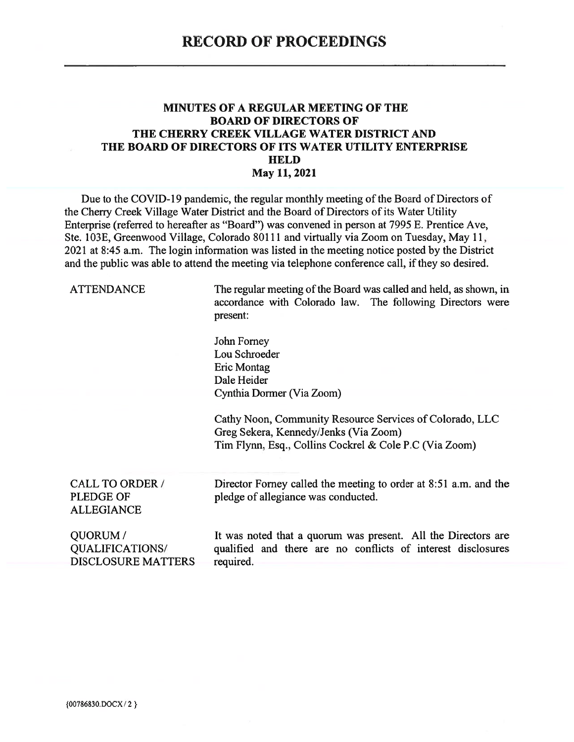## **MINUTES OF A REGULAR MEETING OF THE BOARD OF DIRECTORS OF** THE CHERRY CREEK VILLAGE WATER DISTRICT AND THE BOARD OF DIRECTORS OF ITS WATER UTILITY ENTERPRISE **HELD** May 11, 2021

Due to the COVID-19 pandemic, the regular monthly meeting of the Board of Directors of the Cherry Creek Village Water District and the Board of Directors of its Water Utility Enterprise (referred to hereafter as "Board") was convened in person at 7995 E. Prentice Ave, Ste. 103E, Greenwood Village, Colorado 80111 and virtually via Zoom on Tuesday, May 11, 2021 at 8:45 a.m. The login information was listed in the meeting notice posted by the District and the public was able to attend the meeting via telephone conference call, if they so desired.

| <b>ATTENDANCE</b>                                               | The regular meeting of the Board was called and held, as shown, in<br>accordance with Colorado law. The following Directors were<br>present:<br>John Forney<br>Lou Schroeder<br><b>Eric Montag</b><br>Dale Heider<br>Cynthia Dormer (Via Zoom)<br>Cathy Noon, Community Resource Services of Colorado, LLC<br>Greg Sekera, Kennedy/Jenks (Via Zoom)<br>Tim Flynn, Esq., Collins Cockrel & Cole P.C (Via Zoom) |  |
|-----------------------------------------------------------------|---------------------------------------------------------------------------------------------------------------------------------------------------------------------------------------------------------------------------------------------------------------------------------------------------------------------------------------------------------------------------------------------------------------|--|
| <b>CALL TO ORDER /</b><br><b>PLEDGE OF</b><br><b>ALLEGIANCE</b> | Director Forney called the meeting to order at 8:51 a.m. and the<br>pledge of allegiance was conducted.                                                                                                                                                                                                                                                                                                       |  |
| QUORUM/<br><b>QUALIFICATIONS/</b><br><b>DISCLOSURE MATTERS</b>  | It was noted that a quorum was present. All the Directors are<br>qualified and there are no conflicts of interest disclosures<br>required.                                                                                                                                                                                                                                                                    |  |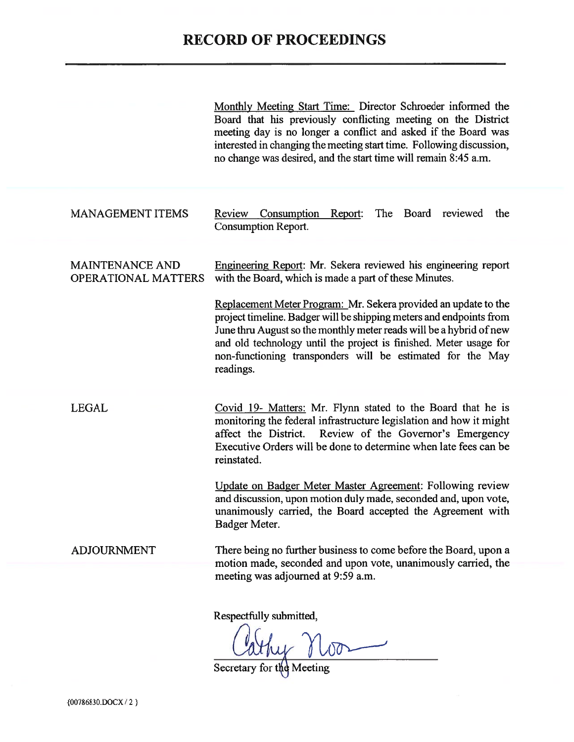|                                                      | Monthly Meeting Start Time: Director Schroeder informed the<br>Board that his previously conflicting meeting on the District<br>meeting day is no longer a conflict and asked if the Board was<br>interested in changing the meeting start time. Following discussion,<br>no change was desired, and the start time will remain 8:45 a.m.                                                                                                                                                         |
|------------------------------------------------------|---------------------------------------------------------------------------------------------------------------------------------------------------------------------------------------------------------------------------------------------------------------------------------------------------------------------------------------------------------------------------------------------------------------------------------------------------------------------------------------------------|
| <b>MANAGEMENT ITEMS</b>                              | Consumption<br>Report:<br>The Board<br>reviewed<br>Review<br>the<br><b>Consumption Report.</b>                                                                                                                                                                                                                                                                                                                                                                                                    |
| <b>MAINTENANCE AND</b><br><b>OPERATIONAL MATTERS</b> | Engineering Report: Mr. Sekera reviewed his engineering report<br>with the Board, which is made a part of these Minutes.<br>Replacement Meter Program: Mr. Sekera provided an update to the<br>project timeline. Badger will be shipping meters and endpoints from<br>June thru August so the monthly meter reads will be a hybrid of new<br>and old technology until the project is finished. Meter usage for<br>non-functioning transponders will be estimated for the May<br>readings.         |
| <b>LEGAL</b>                                         | Covid 19- Matters: Mr. Flynn stated to the Board that he is<br>monitoring the federal infrastructure legislation and how it might<br>Review of the Governor's Emergency<br>affect the District.<br>Executive Orders will be done to determine when late fees can be<br>reinstated.<br>Update on Badger Meter Master Agreement: Following review<br>and discussion, upon motion duly made, seconded and, upon vote,<br>unanimously carried, the Board accepted the Agreement with<br>Badger Meter. |
| <b>ADJOURNMENT</b>                                   | There being no further business to come before the Board, upon a<br>motion made, seconded and upon vote, unanimously carried, the<br>meeting was adjourned at 9:59 a.m.<br>Respectfully submitted,<br>Joshua Moon                                                                                                                                                                                                                                                                                 |

Secretary for the Meeting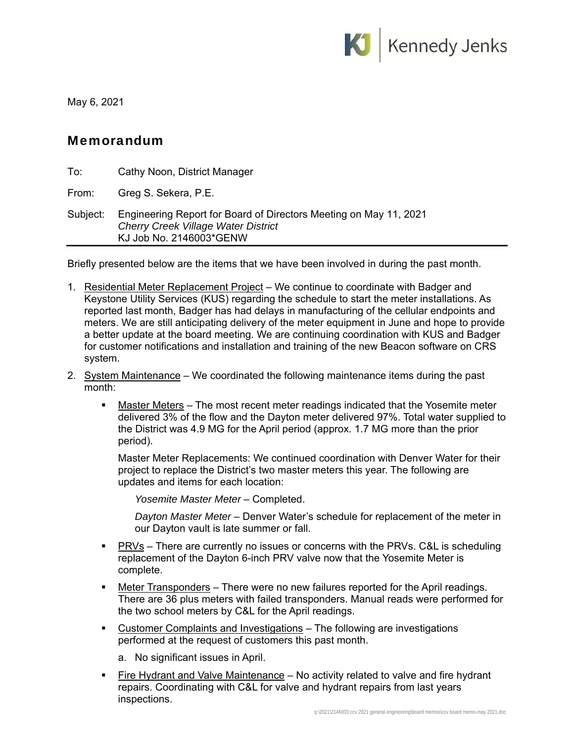

May 6, 2021

## Memorandum

| To:      | Cathy Noon, District Manager                                                                                                               |
|----------|--------------------------------------------------------------------------------------------------------------------------------------------|
| From:    | Greg S. Sekera, P.E.                                                                                                                       |
| Subject: | Engineering Report for Board of Directors Meeting on May 11, 2021<br><b>Cherry Creek Village Water District</b><br>KJ Job No. 2146003*GENW |

Briefly presented below are the items that we have been involved in during the past month.

- 1. Residential Meter Replacement Project We continue to coordinate with Badger and Keystone Utility Services (KUS) regarding the schedule to start the meter installations. As reported last month, Badger has had delays in manufacturing of the cellular endpoints and meters. We are still anticipating delivery of the meter equipment in June and hope to provide a better update at the board meeting. We are continuing coordination with KUS and Badger for customer notifications and installation and training of the new Beacon software on CRS system.
- 2. System Maintenance We coordinated the following maintenance items during the past month:
	- Master Meters The most recent meter readings indicated that the Yosemite meter delivered 3% of the flow and the Dayton meter delivered 97%. Total water supplied to the District was 4.9 MG for the April period (approx. 1.7 MG more than the prior period).

Master Meter Replacements: We continued coordination with Denver Water for their project to replace the District's two master meters this year. The following are updates and items for each location:

*Yosemite Master Meter* – Completed.

*Dayton Master Meter* – Denver Water's schedule for replacement of the meter in our Dayton vault is late summer or fall.

- PRVs There are currently no issues or concerns with the PRVs. C&L is scheduling replacement of the Dayton 6-inch PRV valve now that the Yosemite Meter is complete.
- **Meter Transponders** There were no new failures reported for the April readings. There are 36 plus meters with failed transponders. Manual reads were performed for the two school meters by C&L for the April readings.
- Customer Complaints and Investigations The following are investigations performed at the request of customers this past month.
	- a. No significant issues in April.
- Fire Hydrant and Valve Maintenance No activity related to valve and fire hydrant repairs. Coordinating with C&L for valve and hydrant repairs from last years inspections.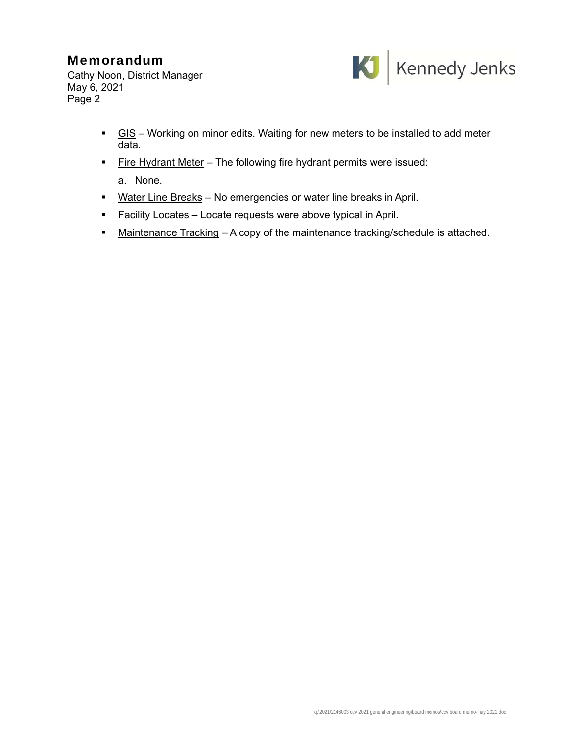## Memorandum

Cathy Noon, District Manager May 6, 2021 Page 2



- GIS Working on minor edits. Waiting for new meters to be installed to add meter data.
- Fire Hydrant Meter The following fire hydrant permits were issued:

a. None.

- Water Line Breaks No emergencies or water line breaks in April.
- **Facility Locates Locate requests were above typical in April.**
- Maintenance Tracking A copy of the maintenance tracking/schedule is attached.